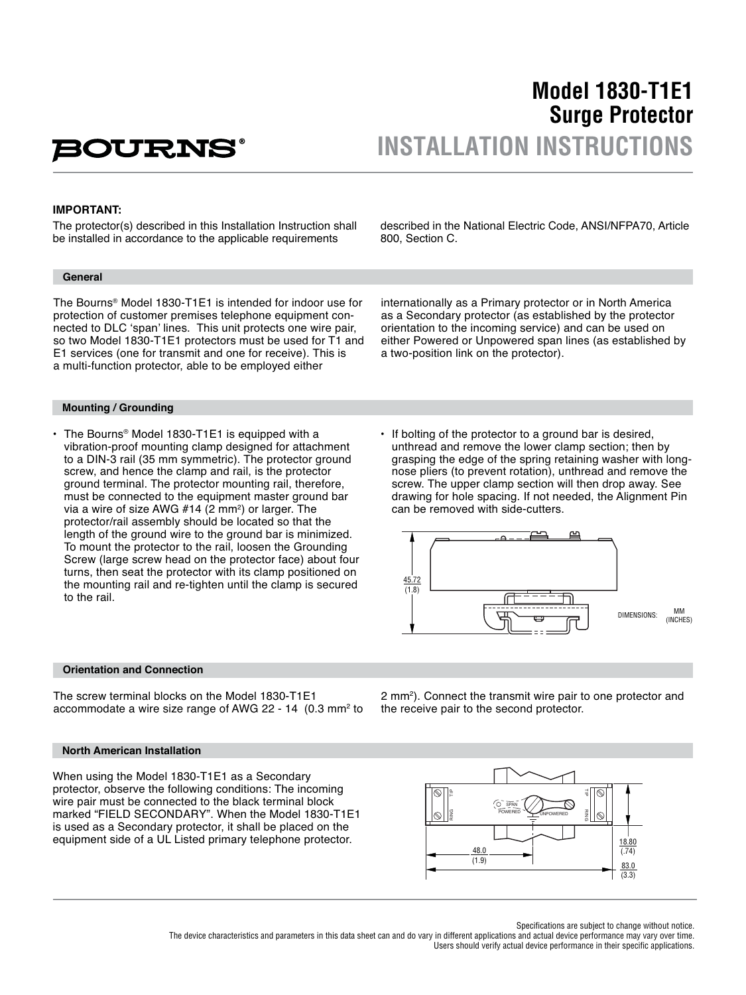# **BOURNS**

## **Model 1830-T1E1 Surge Protector INSTALLATION INSTRUCTIONS**

#### **IMPORTANT:**

The protector(s) described in this Installation Instruction shall be installed in accordance to the applicable requirements

#### **General**

The Bourns® Model 1830-T1E1 is intended for indoor use for protection of customer premises telephone equipment connected to DLC 'span' lines. This unit protects one wire pair, so two Model 1830-T1E1 protectors must be used for T1 and E1 services (one for transmit and one for receive). This is a multi-function protector, able to be employed either

internationally as a Primary protector or in North America as a Secondary protector (as established by the protector

orientation to the incoming service) and can be used on either Powered or Unpowered span lines (as established by

a two-position link on the protector).

described in the National Electric Code, ANSI/NFPA70, Article

800, Section C.

#### **Mounting / Grounding**

- The Bourns® Model 1830-T1E1 is equipped with a vibration-proof mounting clamp designed for attachment to a DIN-3 rail (35 mm symmetric). The protector ground screw, and hence the clamp and rail, is the protector ground terminal. The protector mounting rail, therefore, must be connected to the equipment master ground bar via a wire of size AWG  $#14$  (2 mm<sup>2</sup>) or larger. The protector/rail assembly should be located so that the length of the ground wire to the ground bar is minimized. To mount the protector to the rail, loosen the Grounding Screw (large screw head on the protector face) about four turns, then seat the protector with its clamp positioned on the mounting rail and re-tighten until the clamp is secured to the rail.
- If bolting of the protector to a ground bar is desired, unthread and remove the lower clamp section; then by grasping the edge of the spring retaining washer with long nose pliers (to prevent rotation), unthread and remove the screw. The upper clamp section will then drop away. See drawing for hole spacing. If not needed, the Alignment Pin can be removed with side-cutters.



#### **Orientation and Connection**

The screw terminal blocks on the Model 1830-T1E1 accommodate a wire size range of AWG 22 - 14 (0.3 mm<sup>2</sup> to

#### **North American Installation**

When using the Model 1830-T1E1 as a Secondary protector, observe the following conditions: The incoming wire pair must be connected to the black terminal block marked "FIELD SECONDARY". When the Model 1830-T1E1 is used as a Secondary protector, it shall be placed on the equipment side of a UL Listed primary telephone protector.

2 mm2 ). Connect the transmit wire pair to one protector and the receive pair to the second protector.



Specifications are subject to change without notice.

The device characteristics and parameters in this data sheet can and do vary in different applications and actual device performance may vary over time. Users should verify actual device performance in their specific applications.